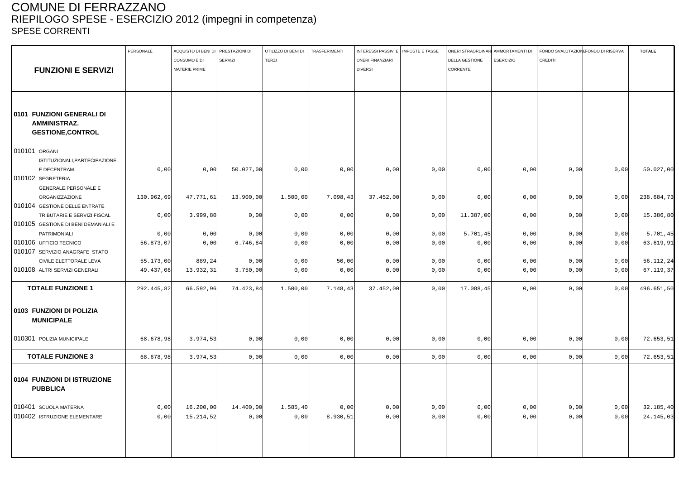### COMUNE DI FERRAZZANO RIEPILOGO SPESE - ESERCIZIO 2012 (impegni in competenza) SPESE CORRENTI

|                                                | PERSONALE  | ACQUISTO DI BENI DI PRESTAZIONI DI |                | UTILIZZO DI BENI DI | TRASFERIMENTI | INTERESSI PASSIVI E   IMPOSTE E TASSE |      | ONERI STRAORDINARI AMMORTAMENTI DI |                  | FONDO SVALUTAZIONE ONDO DI RISERVA |      | <b>TOTALE</b> |
|------------------------------------------------|------------|------------------------------------|----------------|---------------------|---------------|---------------------------------------|------|------------------------------------|------------------|------------------------------------|------|---------------|
|                                                |            | CONSUMO E DI                       | <b>SERVIZI</b> | <b>TERZI</b>        |               | <b>ONERI FINANZIARI</b>               |      | <b>DELLA GESTIONE</b>              | <b>ESERCIZIO</b> | CREDITI                            |      |               |
| <b>FUNZIONI E SERVIZI</b>                      |            | MATERIE PRIME                      |                |                     |               | <b>DIVERSI</b>                        |      | CORRENTE                           |                  |                                    |      |               |
|                                                |            |                                    |                |                     |               |                                       |      |                                    |                  |                                    |      |               |
|                                                |            |                                    |                |                     |               |                                       |      |                                    |                  |                                    |      |               |
|                                                |            |                                    |                |                     |               |                                       |      |                                    |                  |                                    |      |               |
| 0101 FUNZIONI GENERALI DI                      |            |                                    |                |                     |               |                                       |      |                                    |                  |                                    |      |               |
| AMMINISTRAZ.                                   |            |                                    |                |                     |               |                                       |      |                                    |                  |                                    |      |               |
| <b>GESTIONE, CONTROL</b>                       |            |                                    |                |                     |               |                                       |      |                                    |                  |                                    |      |               |
| 010101 ORGANI                                  |            |                                    |                |                     |               |                                       |      |                                    |                  |                                    |      |               |
| ISTITUZIONALI, PARTECIPAZIONE                  |            |                                    |                |                     |               |                                       |      |                                    |                  |                                    |      |               |
| E DECENTRAM.                                   | 0,00       | 0,00                               | 50.027,00      | 0,00                | 0,00          | 0,00                                  | 0,00 | 0,00                               | 0,00             | 0,00                               | 0,00 | 50.027,00     |
| 010102 SEGRETERIA                              |            |                                    |                |                     |               |                                       |      |                                    |                  |                                    |      |               |
| <b>GENERALE, PERSONALE E</b>                   |            |                                    |                |                     |               |                                       |      |                                    |                  |                                    |      |               |
| ORGANIZZAZIONE                                 | 130.962,69 | 47.771,61                          | 13.900,00      | 1.500,00            | 7.098,43      | 37.452,00                             | 0,00 | 0,00                               | 0,00             | 0,00                               | 0,00 | 238.684,73    |
| 010104 GESTIONE DELLE ENTRATE                  |            |                                    |                |                     |               |                                       |      |                                    |                  |                                    |      |               |
| TRIBUTARIE E SERVIZI FISCAL                    | 0,00       | 3.999, 80                          | 0,00           | 0,00                | 0,00          | 0,00                                  | 0,00 | 11.387,00                          | 0,00             | 0,00                               | 0,00 | 15.386,80     |
| 010105 GESTIONE DI BENI DEMANIALI E            |            |                                    |                |                     |               |                                       |      |                                    |                  |                                    |      |               |
| PATRIMONIALI                                   | 0,00       | 0,00                               | 0,00           | 0,00                | 0,00          | 0,00                                  | 0,00 | 5.701,45                           | 0,00             | 0,00                               | 0,00 | 5.701,45      |
| 010106 UFFICIO TECNICO                         | 56.873,07  | 0,00                               | 6.746,84       | 0,00                | 0,00          | 0,00                                  | 0,00 | 0,00                               | 0,00             | 0,00                               | 0,00 | 63.619,91     |
| 010107 SERVIZIO ANAGRAFE STATO                 |            |                                    |                |                     |               |                                       |      |                                    |                  |                                    |      |               |
| CIVILE ELETTORALE LEVA                         | 55.173,00  | 889,24                             | 0,00           | 0,00                | 50,00         | 0,00                                  | 0,00 | 0,00                               | 0,00             | 0,00                               | 0,00 | 56.112,24     |
| 010108 ALTRI SERVIZI GENERALI                  | 49.437,06  | 13.932,31                          | 3.750,00       | 0,00                | 0,00          | 0,00                                  | 0,00 | 0,00                               | 0,00             | 0,00                               | 0,00 | 67.119,37     |
|                                                |            |                                    |                |                     |               |                                       |      |                                    |                  |                                    |      |               |
| <b>TOTALE FUNZIONE 1</b>                       | 292.445,82 | 66.592,96                          | 74.423,84      | 1.500,00            | 7.148,43      | 37.452,00                             | 0,00 | 17.088,45                          | 0,00             | 0,00                               | 0,00 | 496.651,50    |
| 0103 FUNZIONI DI POLIZIA<br><b>MUNICIPALE</b>  |            |                                    |                |                     |               |                                       |      |                                    |                  |                                    |      |               |
| 010301 POLIZIA MUNICIPALE                      | 68.678,98  | 3.974,53                           | 0,00           | 0,00                | 0,00          | 0,00                                  | 0,00 | 0,00                               | 0,00             | 0,00                               | 0,00 | 72.653,51     |
| <b>TOTALE FUNZIONE 3</b>                       | 68.678,98  | 3.974,53                           | 0,00           | 0,00                | 0,00          | 0,00                                  | 0,00 | 0,00                               | 0,00             | 0,00                               | 0,00 | 72.653,51     |
| 0104 FUNZIONI DI ISTRUZIONE<br><b>PUBBLICA</b> |            |                                    |                |                     |               |                                       |      |                                    |                  |                                    |      |               |
| 010401 SCUOLA MATERNA                          | 0,00       | 16.200,00                          | 14.400,00      | 1.585,40            | 0,00          | 0,00                                  | 0,00 | 0,00                               | 0,00             | 0,00                               | 0,00 | 32.185,40     |
| 010402 ISTRUZIONE ELEMENTARE                   | 0.00       | 15.214,52                          | 0,00           | 0,00                | 8.930,51      | 0,00                                  | 0,00 | 0,00                               | 0,00             | 0,00                               | 0,00 | 24.145,03     |
|                                                |            |                                    |                |                     |               |                                       |      |                                    |                  |                                    |      |               |
|                                                |            |                                    |                |                     |               |                                       |      |                                    |                  |                                    |      |               |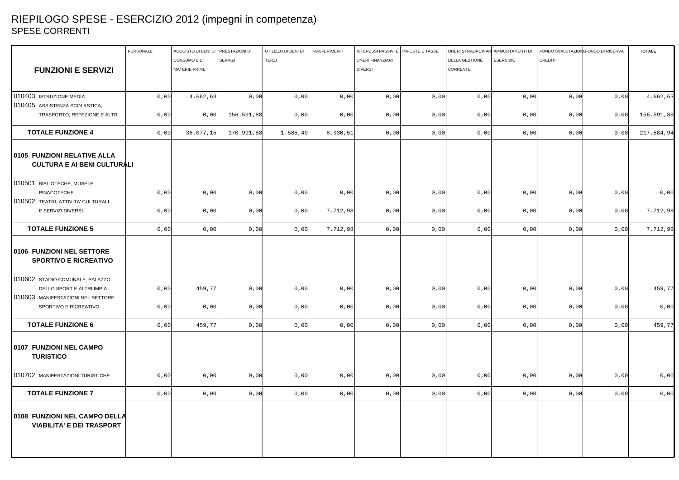# RIEPILOGO SPESE - ESERCIZIO 2012 (impegni in competenza) SPESE CORRENTI

|                                    | CONSUMO E DI  | SERVIZI                                                              |                        |                    |                         |                                                      |                                                                                      |                                                                                      |                                                                                      |                                                      |                                                                                      |
|------------------------------------|---------------|----------------------------------------------------------------------|------------------------|--------------------|-------------------------|------------------------------------------------------|--------------------------------------------------------------------------------------|--------------------------------------------------------------------------------------|--------------------------------------------------------------------------------------|------------------------------------------------------|--------------------------------------------------------------------------------------|
|                                    |               |                                                                      | <b>TERZI</b>           |                    | <b>ONERI FINANZIARI</b> |                                                      | <b>DELLA GESTIONE</b>                                                                | <b>ESERCIZIO</b>                                                                     | CREDITI                                                                              |                                                      |                                                                                      |
|                                    | MATERIE PRIME |                                                                      |                        |                    | <b>DIVERSI</b>          |                                                      | CORRENTE                                                                             |                                                                                      |                                                                                      |                                                      |                                                                                      |
|                                    |               |                                                                      |                        |                    |                         |                                                      |                                                                                      |                                                                                      |                                                                                      |                                                      |                                                                                      |
|                                    |               |                                                                      |                        |                    |                         |                                                      |                                                                                      |                                                                                      |                                                                                      |                                                      |                                                                                      |
|                                    |               |                                                                      |                        |                    |                         |                                                      |                                                                                      |                                                                                      |                                                                                      | 0,00                                                 | 4.662,63                                                                             |
|                                    |               |                                                                      |                        |                    |                         |                                                      |                                                                                      |                                                                                      |                                                                                      |                                                      |                                                                                      |
|                                    | 0,00          | 156.591,88                                                           | 0,00                   | 0,00               |                         |                                                      |                                                                                      |                                                                                      |                                                                                      | 0,00                                                 | 156.591,88                                                                           |
|                                    |               |                                                                      | 1.585,40               | 8.930,51           |                         |                                                      |                                                                                      | 0,00                                                                                 |                                                                                      | 0,00                                                 | 217.584,94                                                                           |
| <b>CULTURA E AI BENI CULTURALI</b> |               |                                                                      |                        |                    |                         |                                                      |                                                                                      |                                                                                      |                                                                                      |                                                      |                                                                                      |
|                                    |               |                                                                      |                        |                    |                         |                                                      |                                                                                      |                                                                                      |                                                                                      |                                                      |                                                                                      |
| 0,00                               | 0,00          | 0,00                                                                 | 0,00                   | 0,00               |                         |                                                      |                                                                                      |                                                                                      |                                                                                      | 0,00                                                 | 0,00                                                                                 |
|                                    |               |                                                                      |                        |                    |                         |                                                      |                                                                                      |                                                                                      |                                                                                      |                                                      |                                                                                      |
|                                    | 0,00          | 0,00                                                                 | 0,00                   |                    |                         |                                                      |                                                                                      |                                                                                      |                                                                                      | 0,00                                                 | 7.712,98                                                                             |
|                                    | 0,00          | 0,00                                                                 | 0,00                   |                    |                         |                                                      |                                                                                      |                                                                                      |                                                                                      | 0,00                                                 | 7.712,98                                                                             |
|                                    |               |                                                                      |                        |                    |                         |                                                      |                                                                                      |                                                                                      |                                                                                      |                                                      |                                                                                      |
|                                    | 459,77        | 0,00                                                                 | 0,00                   |                    |                         |                                                      |                                                                                      | 0,00                                                                                 |                                                                                      | 0,00                                                 | 459,77                                                                               |
|                                    |               |                                                                      |                        |                    |                         |                                                      |                                                                                      |                                                                                      |                                                                                      |                                                      |                                                                                      |
|                                    | 0,00          | 0,00                                                                 | 0,00                   |                    |                         |                                                      |                                                                                      |                                                                                      |                                                                                      | 0,00                                                 | 0,00                                                                                 |
| 0,00                               | 459,77        | 0,00                                                                 | 0,00                   | 0,00               |                         |                                                      |                                                                                      | 0,00                                                                                 |                                                                                      | 0,00                                                 | 459,77                                                                               |
|                                    |               |                                                                      |                        |                    |                         |                                                      |                                                                                      |                                                                                      |                                                                                      |                                                      |                                                                                      |
|                                    | 0,00          | 0,00                                                                 | 0,00                   |                    |                         |                                                      |                                                                                      |                                                                                      |                                                                                      | 0,00                                                 | 0,00                                                                                 |
|                                    | 0,00          | 0,00                                                                 | 0,00                   | 0,00               |                         |                                                      |                                                                                      | 0,00                                                                                 |                                                                                      | 0,00                                                 | 0,00                                                                                 |
|                                    |               |                                                                      |                        |                    |                         |                                                      |                                                                                      |                                                                                      |                                                                                      |                                                      |                                                                                      |
|                                    |               | 0,00<br>0,00<br>0,00<br>0,00<br>0,00<br>0,00<br>0,00<br>0,00<br>0,00 | 4.662,63<br>36.077, 15 | 0,00<br>170.991,88 | 0,00                    | 0,00<br>7.712,98<br>7.712,98<br>0,00<br>0,00<br>0,00 | 0,00<br>0,00<br>0,00<br>0,00<br>0,00<br>0,00<br>0,00<br>0,00<br>0,00<br>0,00<br>0,00 | 0,00<br>0,00<br>0,00<br>0,00<br>0,00<br>0,00<br>0,00<br>0,00<br>0,00<br>0,00<br>0,00 | 0,00<br>0,00<br>0,00<br>0,00<br>0,00<br>0,00<br>0,00<br>0,00<br>0,00<br>0,00<br>0,00 | 0,00<br>0,00<br>0,00<br>0,00<br>0,00<br>0,00<br>0,00 | 0,00<br>0,00<br>0,00<br>0,00<br>0,00<br>0,00<br>0,00<br>0,00<br>0,00<br>0,00<br>0,00 |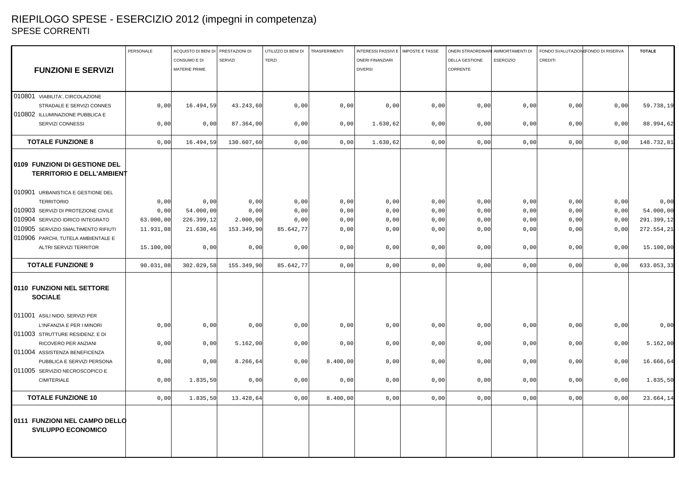### RIEPILOGO SPESE - ESERCIZIO 2012 (impegni in competenza) SPESE CORRENTI

|                                                                   | PERSONALE | ACQUISTO DI BENI DI PRESTAZIONI DI |                | UTILIZZO DI BENI DI | TRASFERIMENTI | INTERESSI PASSIVI E   IMPOSTE E TASSE |      | ONERI STRAORDINARI AMMORTAMENTI DI |                  | FONDO SVALUTAZIONE ONDO DI RISERVA |      | <b>TOTALE</b> |
|-------------------------------------------------------------------|-----------|------------------------------------|----------------|---------------------|---------------|---------------------------------------|------|------------------------------------|------------------|------------------------------------|------|---------------|
|                                                                   |           | CONSUMO E DI                       | <b>SERVIZI</b> | <b>TERZI</b>        |               | <b>ONERI FINANZIARI</b>               |      | <b>DELLA GESTIONE</b>              | <b>ESERCIZIO</b> | <b>CREDITI</b>                     |      |               |
| <b>FUNZIONI E SERVIZI</b>                                         |           | MATERIE PRIME                      |                |                     |               | <b>DIVERSI</b>                        |      | CORRENTE                           |                  |                                    |      |               |
|                                                                   |           |                                    |                |                     |               |                                       |      |                                    |                  |                                    |      |               |
|                                                                   |           |                                    |                |                     |               |                                       |      |                                    |                  |                                    |      |               |
| 010801 VIABILITA', CIRCOLAZIONE                                   |           |                                    |                |                     |               |                                       |      |                                    |                  |                                    |      |               |
| STRADALE E SERVIZI CONNES                                         | 0,00      | 16.494,59                          | 43.243,60      | 0,00                | 0,00          | 0,00                                  | 0,00 | 0,00                               | 0,00             | 0,00                               | 0,00 | 59.738,19     |
| 010802 ILLUMINAZIONE PUBBLICA E                                   |           |                                    |                |                     |               |                                       |      |                                    |                  |                                    |      |               |
| SERVIZI CONNESSI                                                  | 0,00      | 0,00                               | 87.364,00      | 0,00                | 0,00          | 1.630, 62                             | 0,00 | 0,00                               | 0,00             | 0,00                               | 0,00 | 88.994,62     |
| <b>TOTALE FUNZIONE 8</b>                                          | 0,00      | 16.494,59                          | 130.607,60     | 0,00                | 0,00          | 1.630, 62                             | 0,00 | 0,00                               | 0,00             | 0,00                               | 0,00 | 148.732,81    |
| 0109 FUNZIONI DI GESTIONE DEL<br><b>TERRITORIO E DELL'AMBIENT</b> |           |                                    |                |                     |               |                                       |      |                                    |                  |                                    |      |               |
|                                                                   |           |                                    |                |                     |               |                                       |      |                                    |                  |                                    |      |               |
| 010901 URBANISTICA E GESTIONE DEL                                 |           |                                    |                |                     |               |                                       |      |                                    |                  |                                    |      |               |
| <b>TERRITORIO</b>                                                 | 0,00      | 0,00                               | 0,00           | 0,00                | 0,00          | 0,00                                  | 0,00 | 0,00                               | 0,00             | 0,00                               | 0,00 | 0,00          |
| 010903 SERVIZI DI PROTEZIONE CIVILE                               | 0,00      | 54.000,00                          | 0,00           | 0,00                | 0,00          | 0,00                                  | 0,00 | 0,00                               | 0,00             | 0,00                               | 0,00 | 54.000,00     |
| 010904 SERVIZIO IDRICO INTEGRATO                                  | 63.000,00 | 226.399,12                         | 2.000,00       | 0,00                | 0,00          | 0,00                                  | 0,00 | 0,00                               | 0,00             | 0,00                               | 0,00 | 291.399,12    |
| 010905 SERVIZIO SMALTIMENTO RIFIUTI                               | 11.931,08 | 21.630,46                          | 153.349,90     | 85.642,77           | 0,00          | 0,00                                  | 0,00 | 0,00                               | 0,00             | 0,00                               | 0,00 | 272.554,21    |
| 010906 PARCHI, TUTELA AMBIENTALE E                                |           |                                    |                |                     |               |                                       |      |                                    |                  |                                    |      |               |
| <b>ALTRI SERVIZI TERRITOR</b>                                     | 15.100,00 | 0,00                               | 0,00           | 0,00                | 0,00          | 0,00                                  | 0,00 | 0,00                               | 0,00             | 0,00                               | 0,00 | 15.100,00     |
| <b>TOTALE FUNZIONE 9</b>                                          | 90.031,08 | 302.029,58                         | 155.349,90     | 85.642,77           | 0,00          | 0,00                                  | 0,00 | 0,00                               | 0,00             | 0,00                               | 0,00 | 633.053,33    |
| 0110 FUNZIONI NEL SETTORE<br><b>SOCIALE</b>                       |           |                                    |                |                     |               |                                       |      |                                    |                  |                                    |      |               |
|                                                                   |           |                                    |                |                     |               |                                       |      |                                    |                  |                                    |      |               |
| 011001 ASILI NIDO, SERVIZI PER                                    |           |                                    |                |                     |               |                                       |      |                                    |                  |                                    |      |               |
| L'INFANZIA E PER I MINORI                                         | 0,00      | 0,00                               | 0,00           | 0,00                | 0,00          | 0,00                                  | 0,00 | 0,00                               | 0,00             | 0,00                               | 0,00 | 0,00          |
| 011003 STRUTTURE RESIDENZ. E DI                                   |           |                                    |                |                     |               |                                       |      |                                    |                  |                                    |      |               |
| RICOVERO PER ANZIANI                                              | 0,00      | 0,00                               | 5.162,00       | 0,00                | 0,00          | 0,00                                  | 0,00 | 0,00                               | 0,00             | 0,00                               | 0,00 | 5.162,00      |
| 011004 ASSISTENZA BENEFICENZA                                     |           |                                    |                |                     |               |                                       |      |                                    |                  |                                    |      |               |
| PUBBLICA E SERVIZI PERSONA                                        | 0,00      | 0,00                               | 8.266,64       | 0,00                | 8.400,00      | 0,00                                  | 0,00 | 0,00                               | 0,00             | 0,00                               | 0,00 | 16.666,64     |
| 011005 SERVIZIO NECROSCOPICO E                                    |           |                                    |                |                     |               |                                       |      |                                    |                  |                                    |      |               |
| <b>CIMITERIALE</b>                                                | 0,00      | 1.835,50                           | 0,00           | 0,00                | 0,00          | 0,00                                  | 0,00 | 0,00                               | 0,00             | 0,00                               | 0,00 | 1.835,50      |
| <b>TOTALE FUNZIONE 10</b>                                         | 0,00      | 1.835,50                           | 13.428,64      | 0,00                | 8.400,00      | 0,00                                  | 0,00 | 0,00                               | 0,00             | 0,00                               | 0,00 | 23.664,14     |
| 0111 FUNZIONI NEL CAMPO DELLO<br><b>SVILUPPO ECONOMICO</b>        |           |                                    |                |                     |               |                                       |      |                                    |                  |                                    |      |               |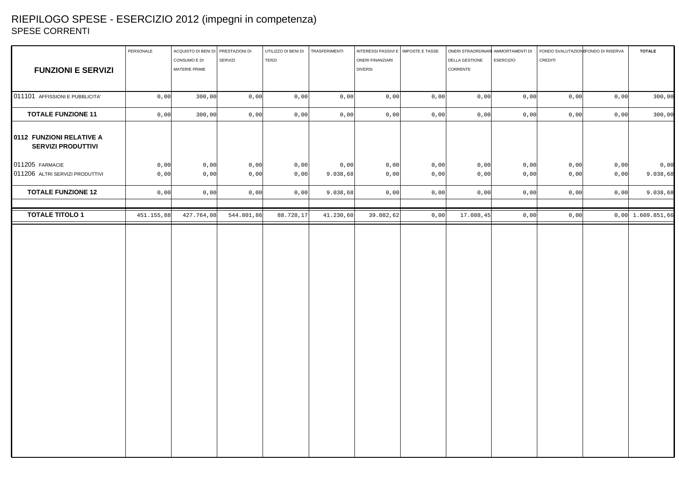# RIEPILOGO SPESE - ESERCIZIO 2012 (impegni in competenza) SPESE CORRENTI

|                                                       | PERSONALE  | ACQUISTO DI BENI DI PRESTAZIONI DI |            | UTILIZZO DI BENI DI | TRASFERIMENTI | INTERESSI PASSIVI E   IMPOSTE E TASSE |      | ONERI STRAORDINARI AMMORTAMENTI DI |      | FONDO SVALUTAZION FONDO DI RISERVA |      | <b>TOTALE</b>       |
|-------------------------------------------------------|------------|------------------------------------|------------|---------------------|---------------|---------------------------------------|------|------------------------------------|------|------------------------------------|------|---------------------|
|                                                       |            | CONSUMO E DI                       | SERVIZI    | TERZI               |               | ONERI FINANZIARI                      |      | DELLA GESTIONE<br><b>ESERCIZIO</b> |      | CREDITI                            |      |                     |
| <b>FUNZIONI E SERVIZI</b>                             |            | MATERIE PRIME                      |            |                     |               | <b>DIVERSI</b>                        |      | CORRENTE                           |      |                                    |      |                     |
|                                                       |            |                                    |            |                     |               |                                       |      |                                    |      |                                    |      |                     |
| 011101 AFFISSIONI E PUBBLICITA'                       | 0,00       | 300,00                             | 0,00       | 0,00                | 0,00          | 0,00                                  | 0,00 | 0,00                               | 0,00 | 0,00                               | 0,00 | 300,00              |
| <b>TOTALE FUNZIONE 11</b>                             | 0,00       | 300,00                             | 0,00       | 0,00                | 0,00          | 0,00                                  | 0,00 | 0,00                               | 0,00 | 0,00                               | 0,00 | 300,00              |
| 0112 FUNZIONI RELATIVE A<br><b>SERVIZI PRODUTTIVI</b> |            |                                    |            |                     |               |                                       |      |                                    |      |                                    |      |                     |
| 011205 FARMACIE                                       | 0,00       | 0,00                               | 0,00       | 0,00                | 0,00          | 0,00                                  | 0,00 | 0,00                               | 0,00 | 0,00                               | 0,00 | 0,00                |
| 011206 ALTRI SERVIZI PRODUTTIVI                       | 0,00       | 0,00                               | 0,00       | 0,00                | 9.038,68      | 0,00                                  | 0,00 | 0,00                               | 0,00 | 0,00                               | 0,00 | 9.038,68            |
| <b>TOTALE FUNZIONE 12</b>                             | 0,00       | 0,00                               | 0,00       | 0,00                | 9.038,68      | 0,00                                  | 0,00 | 0,00                               | 0,00 | 0,00                               | 0,00 | 9.038,68            |
| <b>TOTALE TITOLO 1</b>                                | 451.155,88 | 427.764,08                         | 544.801,86 | 88.728,17           | 41.230,60     | 39.082,62                             | 0,00 | 17.088,45                          | 0,00 | 0,00                               |      | $0,00$ 1.609.851,66 |
|                                                       |            |                                    |            |                     |               |                                       |      |                                    |      |                                    |      |                     |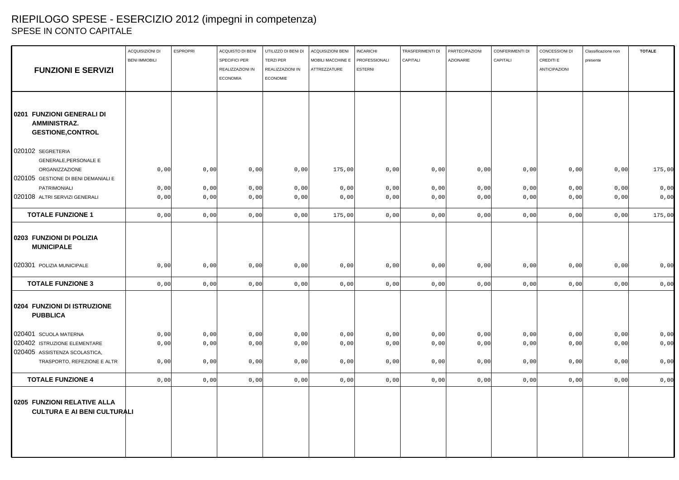# RIEPILOGO SPESE - ESERCIZIO 2012 (impegni in competenza) SPESE IN CONTO CAPITALE

|                                                                              | ACQUISIZIONI DI<br><b>BENI IMMOBILI</b> | <b>ESPROPRI</b> | ACQUISTO DI BENI<br><b>SPECIFICI PER</b> | UTILIZZO DI BENI DI<br><b>TERZI PER</b> | <b>ACQUISIZIONI BENI</b><br>MOBILI MACCHINE E | <b>INCARICHI</b><br>PROFESSIONALI | TRASFERIMENTI DI<br>CAPITALI | PARTECIPAZIONI<br><b>AZIONARIE</b> | CONFERIMENTI DI<br>CAPITALI | CONCESSIONI DI<br>CREDITI E | Classificazione non<br>presente | <b>TOTALE</b> |
|------------------------------------------------------------------------------|-----------------------------------------|-----------------|------------------------------------------|-----------------------------------------|-----------------------------------------------|-----------------------------------|------------------------------|------------------------------------|-----------------------------|-----------------------------|---------------------------------|---------------|
| <b>FUNZIONI E SERVIZI</b>                                                    |                                         |                 | REALIZZAZIONI IN                         | REALIZZAZIONI IN                        | ATTREZZATURE                                  | <b>ESTERNI</b>                    |                              |                                    |                             | <b>ANTICIPAZIONI</b>        |                                 |               |
|                                                                              |                                         |                 | <b>ECONOMIA</b>                          | <b>ECONOMIE</b>                         |                                               |                                   |                              |                                    |                             |                             |                                 |               |
|                                                                              |                                         |                 |                                          |                                         |                                               |                                   |                              |                                    |                             |                             |                                 |               |
| 0201 FUNZIONI GENERALI DI<br><b>AMMINISTRAZ.</b><br><b>GESTIONE, CONTROL</b> |                                         |                 |                                          |                                         |                                               |                                   |                              |                                    |                             |                             |                                 |               |
| 020102 SEGRETERIA<br><b>GENERALE, PERSONALE E</b>                            |                                         |                 |                                          |                                         |                                               |                                   |                              |                                    |                             |                             |                                 |               |
| ORGANIZZAZIONE<br>020105 GESTIONE DI BENI DEMANIALI E                        | 0,00                                    | 0,00            | 0,00                                     | 0,00                                    | 175,00                                        | 0,00                              | 0,00                         | 0,00                               | 0,00                        | 0,00                        | 0,00                            | 175,00        |
| PATRIMONIALI                                                                 | 0,00                                    | 0,00            | 0,00                                     | 0,00                                    | 0,00                                          | 0,00                              | 0,00                         | 0,00                               | 0,00                        | 0,00                        | 0,00                            | 0,00          |
| 020108 ALTRI SERVIZI GENERALI                                                | 0,00                                    | 0,00            | 0,00                                     | 0,00                                    | 0,00                                          | 0,00                              | 0,00                         | 0,00                               | 0,00                        | 0,00                        | 0,00                            | 0,00          |
| <b>TOTALE FUNZIONE 1</b>                                                     | 0,00                                    | 0,00            | 0,00                                     | 0,00                                    | 175,00                                        | 0,00                              | 0,00                         | 0,00                               | 0,00                        | 0,00                        | 0,00                            | 175,00        |
| 0203 FUNZIONI DI POLIZIA<br><b>MUNICIPALE</b>                                |                                         |                 |                                          |                                         |                                               |                                   |                              |                                    |                             |                             |                                 |               |
| 020301 POLIZIA MUNICIPALE                                                    | 0,00                                    | 0,00            | 0,00                                     | 0,00                                    | 0,00                                          | 0,00                              | 0,00                         | 0,00                               | 0,00                        | 0,00                        | 0,00                            | 0,00          |
| <b>TOTALE FUNZIONE 3</b>                                                     | 0,00                                    | 0,00            | 0,00                                     | 0,00                                    | 0,00                                          | 0,00                              | 0,00                         | 0,00                               | 0,00                        | 0,00                        | 0,00                            | 0,00          |
| 0204 FUNZIONI DI ISTRUZIONE<br><b>PUBBLICA</b>                               |                                         |                 |                                          |                                         |                                               |                                   |                              |                                    |                             |                             |                                 |               |
| 020401 SCUOLA MATERNA                                                        | 0,00                                    | 0,00            | 0,00                                     | 0,00                                    | 0,00                                          | 0,00                              | 0,00                         | 0,00                               | 0,00                        | 0,00                        | 0,00                            | 0,00          |
| 020402 ISTRUZIONE ELEMENTARE                                                 | 0,00                                    | 0,00            | 0,00                                     | 0,00                                    | 0,00                                          | 0,00                              | 0,00                         | 0,00                               | 0,00                        | 0,00                        | 0,00                            | 0,00          |
| 020405 ASSISTENZA SCOLASTICA,<br>TRASPORTO, REFEZIONE E ALTR                 | 0,00                                    | 0,00            | 0,00                                     | 0,00                                    | 0,00                                          | 0,00                              | 0,00                         | 0,00                               | 0,00                        | 0,00                        | 0,00                            | 0,00          |
|                                                                              |                                         |                 |                                          |                                         |                                               |                                   |                              |                                    |                             |                             |                                 |               |
| <b>TOTALE FUNZIONE 4</b>                                                     | 0,00                                    | 0,00            | 0,00                                     | 0,00                                    | 0,00                                          | 0,00                              | 0,00                         | 0,00                               | 0,00                        | 0,00                        | 0,00                            | 0,00          |
| 0205 FUNZIONI RELATIVE ALLA<br><b>CULTURA E AI BENI CULTURALI</b>            |                                         |                 |                                          |                                         |                                               |                                   |                              |                                    |                             |                             |                                 |               |
|                                                                              |                                         |                 |                                          |                                         |                                               |                                   |                              |                                    |                             |                             |                                 |               |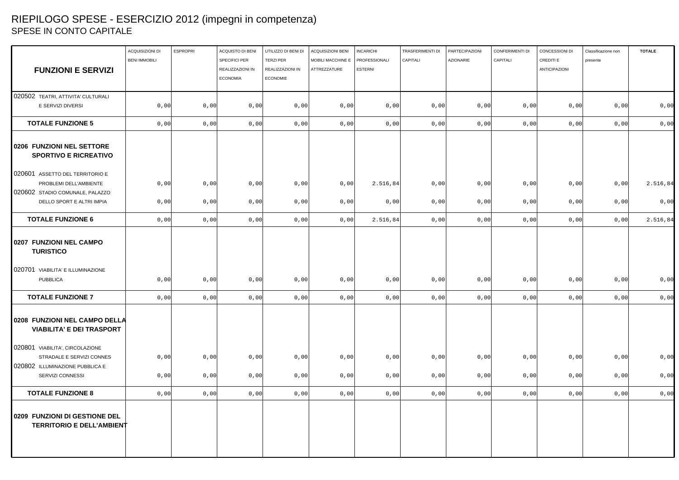# RIEPILOGO SPESE - ESERCIZIO 2012 (impegni in competenza) SPESE IN CONTO CAPITALE

|                                                                   | ACQUISIZIONI DI      | <b>ESPROPRI</b> | ACQUISTO DI BENI                  | UTILIZZO DI BENI DI                  | ACQUISIZIONI BENI                 | <b>INCARICHI</b>                | TRASFERIMENTI DI | PARTECIPAZIONI   | CONFERIMENTI DI | CONCESSIONI DI                    | Classificazione non | <b>TOTALE</b> |
|-------------------------------------------------------------------|----------------------|-----------------|-----------------------------------|--------------------------------------|-----------------------------------|---------------------------------|------------------|------------------|-----------------|-----------------------------------|---------------------|---------------|
| <b>FUNZIONI E SERVIZI</b>                                         | <b>BENI IMMOBILI</b> |                 | SPECIFICI PER<br>REALIZZAZIONI IN | <b>TERZI PER</b><br>REALIZZAZIONI IN | MOBILI MACCHINE E<br>ATTREZZATURE | PROFESSIONALI<br><b>ESTERNI</b> | CAPITALI         | <b>AZIONARIE</b> | CAPITALI        | CREDITI E<br><b>ANTICIPAZIONI</b> | presente            |               |
|                                                                   |                      |                 | <b>ECONOMIA</b>                   | <b>ECONOMIE</b>                      |                                   |                                 |                  |                  |                 |                                   |                     |               |
| 020502 TEATRI, ATTIVITA' CULTURALI                                |                      |                 |                                   |                                      |                                   |                                 |                  |                  |                 |                                   |                     |               |
| E SERVIZI DIVERSI                                                 | 0,00                 | 0,00            | 0,00                              | 0,00                                 | 0,00                              | 0,00                            | 0,00             | 0,00             | 0,00            | 0,00                              | 0,00                | 0,00          |
| <b>TOTALE FUNZIONE 5</b>                                          | 0,00                 | 0,00            | 0,00                              | 0,00                                 | 0,00                              | 0,00                            | 0,00             | 0,00             | 0,00            | 0,00                              | 0,00                | 0,00          |
| 0206 FUNZIONI NEL SETTORE<br><b>SPORTIVO E RICREATIVO</b>         |                      |                 |                                   |                                      |                                   |                                 |                  |                  |                 |                                   |                     |               |
| 020601 ASSETTO DEL TERRITORIO E                                   |                      |                 |                                   |                                      |                                   |                                 |                  |                  |                 |                                   |                     |               |
| PROBLEMI DELL'AMBIENTE                                            | 0,00                 | 0,00            | 0,00                              | 0,00                                 | 0,00                              | 2.516,84                        | 0,00             | 0,00             | 0,00            | 0,00                              | 0,00                | 2.516,84      |
| 020602 STADIO COMUNALE, PALAZZO<br>DELLO SPORT E ALTRI IMPIA      | 0,00                 | 0,00            | 0,00                              | 0,00                                 | 0,00                              | 0,00                            | 0,00             | 0,00             | 0,00            | 0,00                              | 0,00                | 0,00          |
|                                                                   |                      |                 |                                   |                                      |                                   |                                 |                  |                  |                 |                                   |                     |               |
| <b>TOTALE FUNZIONE 6</b>                                          | 0,00                 | 0,00            | 0,00                              | 0,00                                 | 0,00                              | 2.516,84                        | 0,00             | 0,00             | 0,00            | 0,00                              | 0,00                | 2.516,84      |
| 0207 FUNZIONI NEL CAMPO<br><b>TURISTICO</b>                       |                      |                 |                                   |                                      |                                   |                                 |                  |                  |                 |                                   |                     |               |
| 020701 VIABILITA' E ILLUMINAZIONE                                 |                      |                 |                                   |                                      |                                   |                                 |                  |                  |                 |                                   |                     |               |
| <b>PUBBLICA</b>                                                   | 0,00                 | 0,00            | 0,00                              | 0,00                                 | 0,00                              | 0,00                            | 0,00             | 0,00             | 0,00            | 0,00                              | 0,00                | 0,00          |
| <b>TOTALE FUNZIONE 7</b>                                          | 0,00                 | 0,00            | 0,00                              | 0,00                                 | 0,00                              | 0,00                            | 0,00             | 0,00             | 0,00            | 0,00                              | 0,00                | 0,00          |
| 0208 FUNZIONI NEL CAMPO DELLA<br><b>VIABILITA' E DEI TRASPORT</b> |                      |                 |                                   |                                      |                                   |                                 |                  |                  |                 |                                   |                     |               |
| 020801 VIABILITA', CIRCOLAZIONE                                   |                      |                 |                                   |                                      |                                   |                                 |                  |                  |                 |                                   |                     |               |
| STRADALE E SERVIZI CONNES                                         | 0,00                 | 0,00            | 0,00                              | 0,00                                 | 0,00                              | 0,00                            | 0,00             | 0,00             | 0,00            | 0,00                              | 0,00                | 0,00          |
| 020802 ILLUMINAZIONE PUBBLICA E<br>SERVIZI CONNESSI               | 0,00                 | 0,00            | 0,00                              | 0,00                                 | 0,00                              | 0,00                            | 0,00             | 0,00             | 0,00            | 0,00                              | 0,00                | 0,00          |
| <b>TOTALE FUNZIONE 8</b>                                          | 0,00                 | 0,00            | 0,00                              | 0,00                                 | 0,00                              | 0,00                            | 0,00             | 0,00             | 0,00            | 0,00                              | 0,00                | 0,00          |
| 0209 FUNZIONI DI GESTIONE DEL<br><b>TERRITORIO E DELL'AMBIENT</b> |                      |                 |                                   |                                      |                                   |                                 |                  |                  |                 |                                   |                     |               |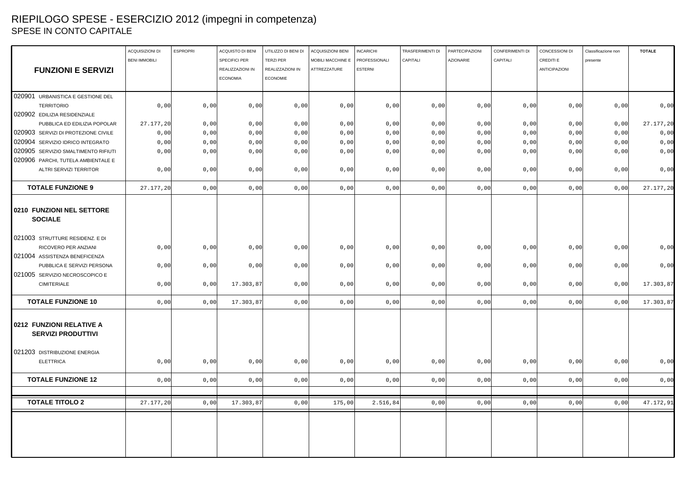# RIEPILOGO SPESE - ESERCIZIO 2012 (impegni in competenza) SPESE IN CONTO CAPITALE

|                                                       | <b>ACQUISIZIONI DI</b> | <b>ESPROPRI</b> | ACQUISTO DI BENI | UTILIZZO DI BENI DI | ACQUISIZIONI BENI | <b>INCARICHI</b> | TRASFERIMENTI DI | <b>PARTECIPAZIONI</b> | CONFERIMENTI DI | CONCESSIONI DI | Classificazione non | <b>TOTALE</b> |
|-------------------------------------------------------|------------------------|-----------------|------------------|---------------------|-------------------|------------------|------------------|-----------------------|-----------------|----------------|---------------------|---------------|
|                                                       | <b>BENI IMMOBILI</b>   |                 | SPECIFICI PER    | <b>TERZI PER</b>    | MOBILI MACCHINE E | PROFESSIONALI    | CAPITALI         | <b>AZIONARIE</b>      | CAPITALI        | CREDITI E      | presente            |               |
| <b>FUNZIONI E SERVIZI</b>                             |                        |                 | REALIZZAZIONI IN | REALIZZAZIONI IN    | ATTREZZATURE      | <b>ESTERNI</b>   |                  |                       |                 | ANTICIPAZIONI  |                     |               |
|                                                       |                        |                 | <b>ECONOMIA</b>  | <b>ECONOMIE</b>     |                   |                  |                  |                       |                 |                |                     |               |
|                                                       |                        |                 |                  |                     |                   |                  |                  |                       |                 |                |                     |               |
| 020901 URBANISTICA E GESTIONE DEL                     |                        |                 |                  |                     |                   |                  |                  |                       |                 |                |                     |               |
| <b>TERRITORIO</b>                                     | 0,00                   | 0,00            | 0,00             | 0,00                | 0,00              | 0,00             | 0,00             | 0,00                  | 0,00            | 0,00           | 0,00                | 0,00          |
| 020902 EDILIZIA RESIDENZIALE                          |                        |                 |                  |                     |                   |                  |                  |                       |                 |                |                     |               |
| PUBBLICA ED EDILIZIA POPOLAR                          | 27.177,20              | 0,00            | 0,00             | 0,00                | 0,00              | 0,00             | 0,00             | 0,00                  | 0,00            | 0,00           | 0,00                | 27.177,20     |
| 020903 SERVIZI DI PROTEZIONE CIVILE                   | 0,00                   | 0,00            | 0,00             | 0,00                | 0,00              | 0,00             | 0,00             | 0,00                  | 0,00            | 0,00           | 0,00                | 0,00          |
| 020904 SERVIZIO IDRICO INTEGRATO                      | 0,00                   | 0,00            | 0,00             | 0,00                | 0,00              | 0,00             | 0,00             | 0,00                  | 0,00            | 0,00           | 0,00                | 0,00          |
| 020905 SERVIZIO SMALTIMENTO RIFIUTI                   | 0,00                   | 0,00            | 0,00             | 0,00                | 0,00              | 0,00             | 0,00             | 0,00                  | 0,00            | 0,00           | 0,00                | 0,00          |
| 020906 PARCHI, TUTELA AMBIENTALE E                    |                        |                 |                  |                     |                   |                  |                  |                       |                 |                |                     |               |
| ALTRI SERVIZI TERRITOR                                | 0,00                   | 0,00            | 0,00             | 0,00                | 0,00              | 0,00             | 0,00             | 0,00                  | 0,00            | 0,00           | 0,00                | 0,00          |
| <b>TOTALE FUNZIONE 9</b>                              | 27.177,20              | 0,00            | 0,00             | 0,00                | 0,00              | 0,00             | 0,00             | 0,00                  | 0,00            | 0,00           | 0,00                | 27.177,20     |
| 0210 FUNZIONI NEL SETTORE<br><b>SOCIALE</b>           |                        |                 |                  |                     |                   |                  |                  |                       |                 |                |                     |               |
| 021003 STRUTTURE RESIDENZ. E DI                       |                        |                 |                  |                     |                   |                  |                  |                       |                 |                |                     |               |
| RICOVERO PER ANZIANI                                  | 0,00                   | 0,00            | 0,00             | 0,00                | 0,00              | 0,00             | 0,00             | 0,00                  | 0,00            | 0,00           | 0,00                | 0,00          |
| 021004 ASSISTENZA BENEFICENZA                         |                        |                 |                  |                     |                   |                  |                  |                       |                 |                |                     |               |
| PUBBLICA E SERVIZI PERSONA                            | 0,00                   | 0,00            | 0,00             | 0,00                | 0,00              | 0,00             | 0,00             | 0,00                  | 0,00            | 0,00           | 0,00                | 0,00          |
| 021005 SERVIZIO NECROSCOPICO E<br><b>CIMITERIALE</b>  | 0,00                   | 0,00            |                  |                     | 0,00              | 0,00             | 0,00             | 0,00                  |                 |                |                     |               |
|                                                       |                        |                 | 17.303,87        | 0,00                |                   |                  |                  |                       | 0,00            | 0,00           | 0,00                | 17.303,87     |
| <b>TOTALE FUNZIONE 10</b>                             | 0,00                   | 0,00            | 17.303,87        | 0,00                | 0,00              | 0,00             | 0,00             | 0,00                  | 0,00            | 0,00           | 0,00                | 17.303,87     |
| 0212 FUNZIONI RELATIVE A<br><b>SERVIZI PRODUTTIVI</b> |                        |                 |                  |                     |                   |                  |                  |                       |                 |                |                     |               |
| 021203 DISTRIBUZIONE ENERGIA<br><b>ELETTRICA</b>      | 0,00                   | 0,00            | 0,00             | 0,00                | 0,00              | 0,00             | 0,00             | 0,00                  | 0,00            | 0,00           | 0,00                | 0,00          |
| <b>TOTALE FUNZIONE 12</b>                             | 0,00                   | 0,00            | 0,00             | 0,00                | 0,00              | 0,00             | 0,00             | 0,00                  | 0,00            | 0,00           | 0,00                | 0,00          |
|                                                       |                        |                 |                  |                     |                   |                  |                  |                       |                 |                |                     |               |
| <b>TOTALE TITOLO 2</b>                                | 27.177,20              | 0,00            | 17.303,87        | 0,00                | 175,00            | 2.516,84         | 0,00             | 0,00                  | 0,00            | 0,00           | 0,00                | 47.172,91     |
|                                                       |                        |                 |                  |                     |                   |                  |                  |                       |                 |                |                     |               |
|                                                       |                        |                 |                  |                     |                   |                  |                  |                       |                 |                |                     |               |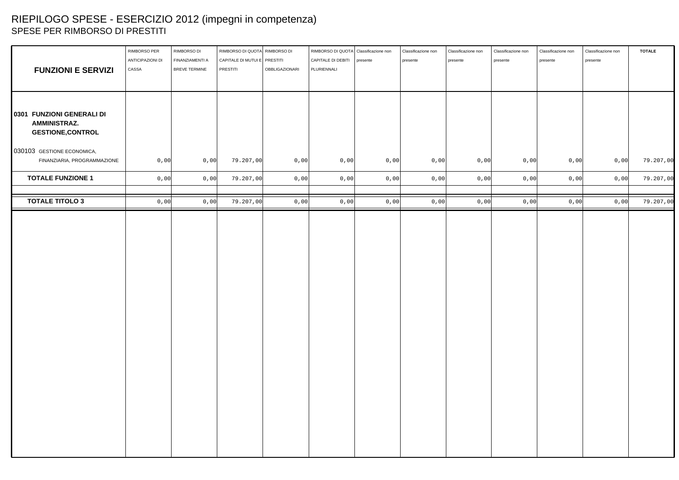# RIEPILOGO SPESE - ESERCIZIO 2012 (impegni in competenza) SPESE PER RIMBORSO DI PRESTITI

| <b>FUNZIONI E SERVIZI</b>                                                     | RIMBORSO PER<br>ANTICIPAZIONI DI<br>CASSA | RIMBORSO DI<br>FINANZIAMENTI A<br>BREVE TERMINE | RIMBORSO DI QUOTA RIMBORSO DI<br>CAPITALE DI MUTUI E PRESTITI<br>PRESTITI | OBBLIGAZIONARI | RIMBORSO DI QUOTA Classificazione non<br>CAPITALE DI DEBITI   presente<br>PLURIENNALI |      | Classificazione non<br>presente | Classificazione non<br>presente | Classificazione non<br>presente | Classificazione non<br>presente | Classificazione non<br>presente | <b>TOTALE</b> |
|-------------------------------------------------------------------------------|-------------------------------------------|-------------------------------------------------|---------------------------------------------------------------------------|----------------|---------------------------------------------------------------------------------------|------|---------------------------------|---------------------------------|---------------------------------|---------------------------------|---------------------------------|---------------|
| 0301 FUNZIONI GENERALI DI                                                     |                                           |                                                 |                                                                           |                |                                                                                       |      |                                 |                                 |                                 |                                 |                                 |               |
| <b>AMMINISTRAZ.</b><br><b>GESTIONE, CONTROL</b><br>030103 GESTIONE ECONOMICA, |                                           |                                                 |                                                                           |                |                                                                                       |      |                                 |                                 |                                 |                                 |                                 |               |
| FINANZIARIA, PROGRAMMAZIONE                                                   | 0,00                                      | 0,00                                            | 79.207,00                                                                 | 0,00           | 0,00                                                                                  | 0,00 | 0,00                            | 0,00                            | 0,00                            | 0,00                            | 0,00                            | 79.207,00     |
| <b>TOTALE FUNZIONE 1</b>                                                      | 0,00                                      | $0$ , $00$                                      | 79.207,00                                                                 | 0,00           | 0,00                                                                                  | 0,00 | $0,00$                          | $0$ , $00$                      | 0,00                            | 0,00                            | 0,00                            | 79.207,00     |
| <b>TOTALE TITOLO 3</b>                                                        | 0,00                                      | 0,00                                            | 79.207,00                                                                 | 0,00           | 0,00                                                                                  | 0,00 | 0,00                            | $0$ , $00$                      | 0,00                            | 0,00                            | 0,00                            | 79.207,00     |
|                                                                               |                                           |                                                 |                                                                           |                |                                                                                       |      |                                 |                                 |                                 |                                 |                                 |               |
|                                                                               |                                           |                                                 |                                                                           |                |                                                                                       |      |                                 |                                 |                                 |                                 |                                 |               |
|                                                                               |                                           |                                                 |                                                                           |                |                                                                                       |      |                                 |                                 |                                 |                                 |                                 |               |
|                                                                               |                                           |                                                 |                                                                           |                |                                                                                       |      |                                 |                                 |                                 |                                 |                                 |               |
|                                                                               |                                           |                                                 |                                                                           |                |                                                                                       |      |                                 |                                 |                                 |                                 |                                 |               |
|                                                                               |                                           |                                                 |                                                                           |                |                                                                                       |      |                                 |                                 |                                 |                                 |                                 |               |
|                                                                               |                                           |                                                 |                                                                           |                |                                                                                       |      |                                 |                                 |                                 |                                 |                                 |               |
|                                                                               |                                           |                                                 |                                                                           |                |                                                                                       |      |                                 |                                 |                                 |                                 |                                 |               |
|                                                                               |                                           |                                                 |                                                                           |                |                                                                                       |      |                                 |                                 |                                 |                                 |                                 |               |